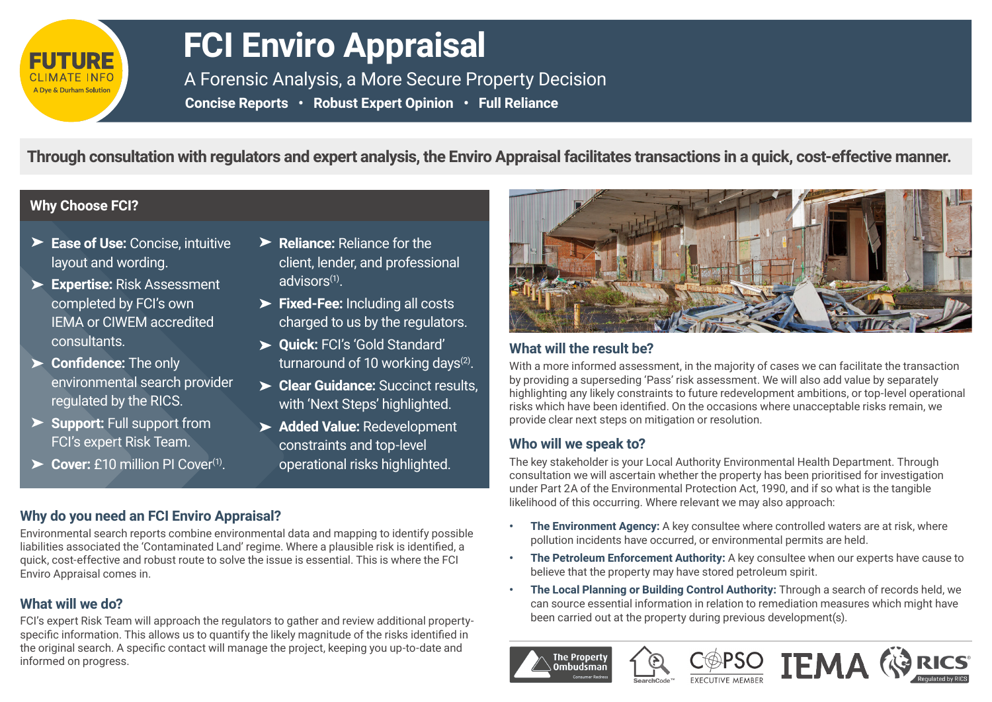

# **FCI Enviro Appraisal**

**Reliance:** Reliance for the

advisors(1).

client, lender, and professional

charged to us by the regulators.

turnaround of 10 working days<sup>(2)</sup>. **Clear Guidance:** Succinct results, with 'Next Steps' highlighted. **Added Value:** Redevelopment constraints and top-level operational risks highlighted.

**Fixed-Fee:** Including all costs

**Quick:** FCI's 'Gold Standard'

A Forensic Analysis, a More Secure Property Decision **Concise Reports • Robust Expert Opinion • Full Reliance** 

**Through consultation with regulators and expert analysis, the Enviro Appraisal facilitates transactions in a quick, cost-effective manner.**

#### **Why Choose FCI?**

- **Ease of Use:** Concise, intuitive layout and wording.
- **Expertise:** Risk Assessment completed by FCI's own IEMA or CIWEM accredited consultants.
- **Confidence:** The only environmental search provider regulated by the RICS.
- **Support:** Full support from FCI's expert Risk Team.
- Cover: £10 million PI Cover<sup>(1)</sup>.

#### **Why do you need an FCI Enviro Appraisal?**

Environmental search reports combine environmental data and mapping to identify possible liabilities associated the 'Contaminated Land' regime. Where a plausible risk is identified, a quick, cost-effective and robust route to solve the issue is essential. This is where the FCI Enviro Appraisal comes in.

#### **What will we do?**

FCI's expert Risk Team will approach the regulators to gather and review additional propertyspecific information. This allows us to quantify the likely magnitude of the risks identified in the original search. A specific contact will manage the project, keeping you up-to-date and informed on progress.



#### **What will the result be?**

With a more informed assessment, in the majority of cases we can facilitate the transaction by providing a superseding 'Pass' risk assessment. We will also add value by separately highlighting any likely constraints to future redevelopment ambitions, or top-level operational risks which have been identified. On the occasions where unacceptable risks remain, we provide clear next steps on mitigation or resolution.

#### **Who will we speak to?**

**The Property** 

The key stakeholder is your Local Authority Environmental Health Department. Through consultation we will ascertain whether the property has been prioritised for investigation under Part 2A of the Environmental Protection Act, 1990, and if so what is the tangible likelihood of this occurring. Where relevant we may also approach:

- **The Environment Agency:** A key consultee where controlled waters are at risk, where pollution incidents have occurred, or environmental permits are held.
- **• The Petroleum Enforcement Authority:** A key consultee when our experts have cause to believe that the property may have stored petroleum spirit.
- **• The Local Planning or Building Control Authority:** Through a search of records held, we can source essential information in relation to remediation measures which might have been carried out at the property during previous development(s).

**IEMA (**